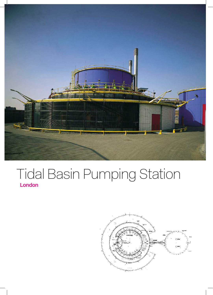

## Tidal Basin Pumping Station **London**